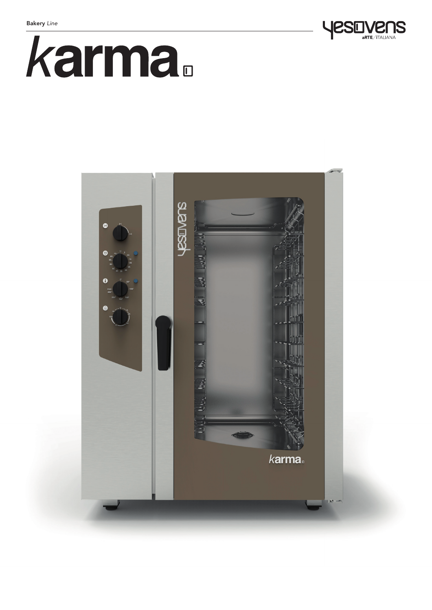



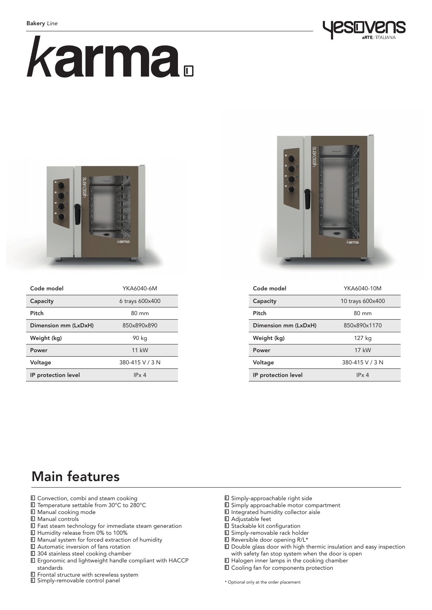

# karma.



| Code model           | YKA6040-6M      |
|----------------------|-----------------|
| Capacity             | 6 trays 600x400 |
| Pitch                | $80 \text{ mm}$ |
| Dimension mm (LxDxH) | 850x890x890     |
| Weight (kg)          | 90 kg           |
| Power                | $11$ kW         |
| Voltage              | 380-415 V / 3 N |
| IP protection level  | IPx4            |



| Code model           | YKA6040-10M      |
|----------------------|------------------|
| Capacity             | 10 trays 600x400 |
| Pitch                | $80 \text{ mm}$  |
| Dimension mm (LxDxH) | 850x890x1170     |
| Weight (kg)          | 127 kg           |
| Power                | 17 kW            |
| Voltage              | 380-415 V / 3 N  |
| IP protection level  | IPx4             |

# Main features

- **□** Convection, combi and steam cooking
- Temperature settable from 30°C to 280°C
- Manual cooking mode
- **□** Manual controls
- Fast steam technology for immediate steam generation
- Humidity release from 0% to 100%
- Manual system for forced extraction of humidity
- Automatic inversion of fans rotation
- 304 stainless steel cooking chamber
- Ergonomic and lightweight handle compliant with HACCP standards
- Frontal structure with screwless system
- Simply-removable control panel
- Simply-approachable right side
- Simply approachable motor compartment
- Integrated humidity collector aisle
- Adjustable feet
- **□** Stackable kit configuration
- Simply-removable rack holder
- Reversible door opening R/L\*
- Double glass door with high thermic insulation and easy inspection with safety fan stop system when the door is open
- Halogen inner lamps in the cooking chamber
- $\square$  Cooling fan for components protection

\* Optional only at the order placement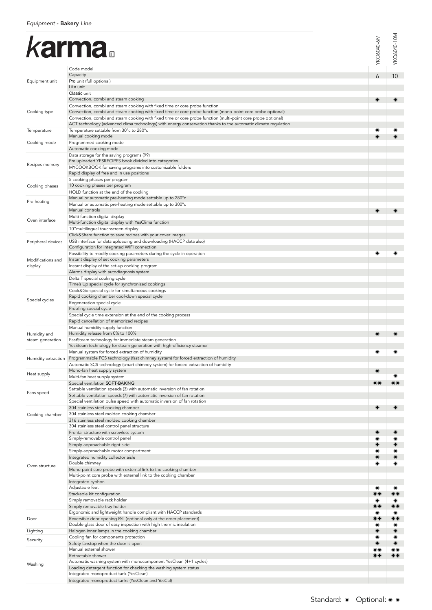# karma

|                                  | <i>karma</i> .<br>Code model                                                                                                                                                                                                                                                                                                                                                                                                                                                                               | YKO6040-6M           | YKO6040-10M                                                                                    |
|----------------------------------|------------------------------------------------------------------------------------------------------------------------------------------------------------------------------------------------------------------------------------------------------------------------------------------------------------------------------------------------------------------------------------------------------------------------------------------------------------------------------------------------------------|----------------------|------------------------------------------------------------------------------------------------|
| Equipment unit                   | Capacity<br>Pro unit (full optional)<br>Lite unit                                                                                                                                                                                                                                                                                                                                                                                                                                                          | 6                    | 10                                                                                             |
| Cooking type                     | Classic unit<br>Convection, combi and steam cooking<br>Convection, combi and steam cooking with fixed time or core probe function<br>Convection, combi and steam cooking with fixed time or core probe function (mono-point core probe optional)<br>Convection, combi and steam cooking with fixed time or core probe function (multi-point core probe optional)<br>ACT technology (advanced clima technology) with energy conservation thanks to the automatic climate regulation                         | $_{\textstyle\odot}$ |                                                                                                |
| Temperature                      | Temperature settable from 30°c to 280°c                                                                                                                                                                                                                                                                                                                                                                                                                                                                    |                      |                                                                                                |
| Cooking mode                     | Manual cooking mode<br>Programmed cooking mode<br>Automatic cooking mode                                                                                                                                                                                                                                                                                                                                                                                                                                   |                      |                                                                                                |
| Recipes memory                   | Data storage for the saving programs (99)<br>Pre uploaded YESRECIPES book divided into categories<br>MYCOOKBOOK for saving programs into customizable folders<br>Rapid display of free and in use positions                                                                                                                                                                                                                                                                                                |                      |                                                                                                |
| Cooking phases                   | 5 cooking phases per program<br>10 cooking phases per program<br>HOLD function at the end of the cooking                                                                                                                                                                                                                                                                                                                                                                                                   |                      |                                                                                                |
| Pre-heating                      | Manual or automatic pre-heating mode settable up to 280°c<br>Manual or automatic pre-heating mode settable up to 300°c                                                                                                                                                                                                                                                                                                                                                                                     |                      |                                                                                                |
| Oven interface                   | Manual controls<br>Multi-function digital display<br>Multi-function digital display with YesClima function<br>10" multilingual touchscreen display                                                                                                                                                                                                                                                                                                                                                         | $\circledcirc$       |                                                                                                |
| Peripheral devices               | Click&Share function to save recipes with your cover images<br>USB interface for data uploading and downloading (HACCP data also)<br>Configuration for integrated WIFI connection                                                                                                                                                                                                                                                                                                                          |                      |                                                                                                |
| Modifications and<br>display     | Possibility to modify cooking parameters during the cycle in operation<br>Instant display of set cooking parameters<br>Instant display of the set-up cooking program<br>Alarms display with autodiagnosis system                                                                                                                                                                                                                                                                                           |                      |                                                                                                |
| Special cycles                   | Delta T special cooking cycle<br>Time's Up special cycle for synchronized cookings<br>Cook&Go special cycle for simultaneous cookings<br>Rapid cooking chamber cool-down special cycle<br>Regeneration special cycle<br>Proofing special cycle<br>Special cycle time extension at the end of the cooking process<br>Rapid cancellation of memorized recipes                                                                                                                                                |                      |                                                                                                |
| Humidity and<br>steam generation | Manual humidity supply function<br>Humidity release from 0% to 100%<br>FastSteam technology for immediate steam generation<br>YesSteam technology for steam generation with high-efficiency steamer                                                                                                                                                                                                                                                                                                        | $_{\textstyle\odot}$ | ⋒                                                                                              |
| Humidity extraction              | Manual system for forced extraction of humidity<br>Programmable FCS technology (fast chimney system) for forced extraction of humidity<br>Automatic SCS technology (smart chimney system) for forced extraction of humidity                                                                                                                                                                                                                                                                                | ◉                    |                                                                                                |
| Heat supply                      | Mono-fan heat supply system<br>Multi-fan heat supply system                                                                                                                                                                                                                                                                                                                                                                                                                                                | $\circledcirc$       |                                                                                                |
| Fans speed                       | Special ventilation SOFT-BAKING<br>Settable ventilation speeds (3) with automatic inversion of fan rotation<br>Settable ventilation speeds (7) with automatic inversion of fan rotation<br>Special ventilation pulse speed with automatic inversion of fan rotation                                                                                                                                                                                                                                        |                      |                                                                                                |
| Cooking chamber                  | 304 stainless steel cooking chamber<br>304 stainless steel molded cooking chamber<br>316 stainless steel molded cooking chamber                                                                                                                                                                                                                                                                                                                                                                            | $\circledcirc$       | $\odot$                                                                                        |
| Oven structure                   | 304 stainless steel control panel structure<br>Frontal structure with screwless system<br>Simply-removable control panel<br>Simply-approachable right side<br>Simply-approachable motor compartment<br>Integrated humidity collector aisle<br>Double chimney<br>Mono-point core probe with external link to the cooking chamber<br>Multi-point core probe with external link to the cooking chamber<br>Integrated syphon<br>Adjustable feet<br>Stackable kit configuration<br>Simply removable rack holder | $\bullet$            | $\circledcirc$<br>◉<br>$\circledcirc$<br>$\odot$<br>$_{\odot \odot}$<br>$\bullet$<br>$\odot$ o |
| Door                             | Simply removable tray holder<br>Ergonomic and lightweight handle compliant with HACCP standards<br>Reversible door opening R/L (optional only at the order placement)<br>Double glass door of easy inspection with high thermic insulation                                                                                                                                                                                                                                                                 |                      | $\bullet$<br>$\bullet\bullet$<br>$\bullet$                                                     |
| Lighting                         | Halogen inner lamps in the cooking chamber                                                                                                                                                                                                                                                                                                                                                                                                                                                                 |                      | $\bullet$                                                                                      |
| Security<br>Washing              | Cooling fan for components protection<br>Safety fanstop when the door is open<br>Manual external shower<br>Retractable shower<br>Automatic washing system with monocomponent YesClean (4+1 cycles)<br>Loading detergent function for checking the washing system status<br>Integrated monoproduct tank (YesClean)                                                                                                                                                                                          |                      | $\circledcirc$<br>$\odot$<br>$\odot$ $\odot$<br>$\odot$                                        |
|                                  | Integrated monoproduct tanks (YesClean and YesCal)<br>Standard: · Optional: • ·                                                                                                                                                                                                                                                                                                                                                                                                                            |                      |                                                                                                |